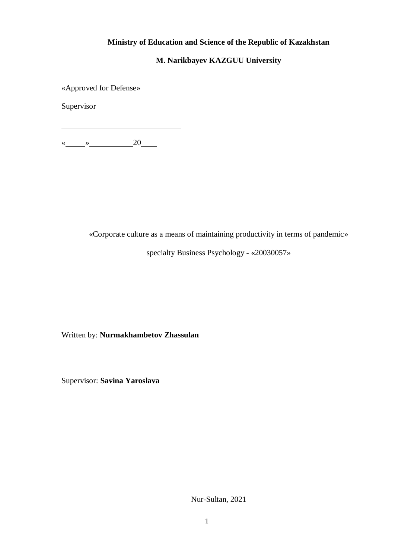## **Ministry of Education and Science of the Republic of Kazakhstan**

## **M. Narikbayev KAZGUU University**

«Approved for Defense»

Supervisor

« $\qquad \qquad \longrightarrow$  20

«Corporate culture as a means of maintaining productivity in terms of pandemic»

specialty Business Psychology - «20030057»

Written by: **Nurmakhambetov Zhassulan**

Supervisor: **Savina Yaroslava**

Nur-Sultan, 2021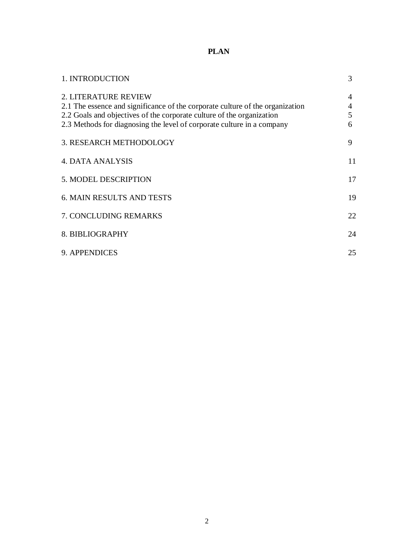# **PLAN**

| 1. INTRODUCTION                                                                                                                                                                                                                                                 | 3                |
|-----------------------------------------------------------------------------------------------------------------------------------------------------------------------------------------------------------------------------------------------------------------|------------------|
| <b>2. LITERATURE REVIEW</b><br>2.1 The essence and significance of the corporate culture of the organization<br>2.2 Goals and objectives of the corporate culture of the organization<br>2.3 Methods for diagnosing the level of corporate culture in a company | 4<br>4<br>5<br>6 |
| 3. RESEARCH METHODOLOGY                                                                                                                                                                                                                                         | 9                |
| 4. DATA ANALYSIS                                                                                                                                                                                                                                                | 11               |
| 5. MODEL DESCRIPTION                                                                                                                                                                                                                                            | 17               |
| <b>6. MAIN RESULTS AND TESTS</b>                                                                                                                                                                                                                                | 19               |
| <b>7. CONCLUDING REMARKS</b>                                                                                                                                                                                                                                    | 22               |
| 8. BIBLIOGRAPHY                                                                                                                                                                                                                                                 | 24               |
| 9. APPENDICES                                                                                                                                                                                                                                                   | 25               |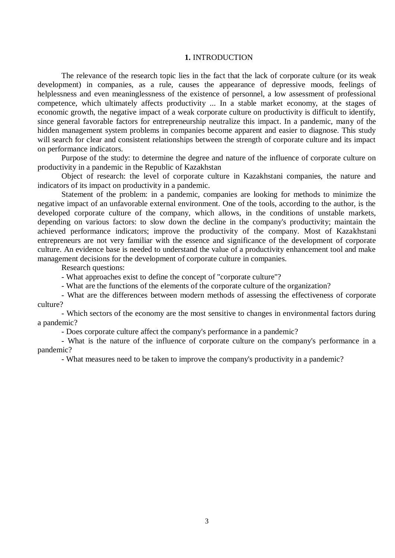#### **1.** INTRODUCTION

The relevance of the research topic lies in the fact that the lack of corporate culture (or its weak development) in companies, as a rule, causes the appearance of depressive moods, feelings of helplessness and even meaninglessness of the existence of personnel, a low assessment of professional competence, which ultimately affects productivity ... In a stable market economy, at the stages of economic growth, the negative impact of a weak corporate culture on productivity is difficult to identify, since general favorable factors for entrepreneurship neutralize this impact. In a pandemic, many of the hidden management system problems in companies become apparent and easier to diagnose. This study will search for clear and consistent relationships between the strength of corporate culture and its impact on performance indicators.

Purpose of the study: to determine the degree and nature of the influence of corporate culture on productivity in a pandemic in the Republic of Kazakhstan

Object of research: the level of corporate culture in Kazakhstani companies, the nature and indicators of its impact on productivity in a pandemic.

Statement of the problem: in a pandemic, companies are looking for methods to minimize the negative impact of an unfavorable external environment. One of the tools, according to the author, is the developed corporate culture of the company, which allows, in the conditions of unstable markets, depending on various factors: to slow down the decline in the company's productivity; maintain the achieved performance indicators; improve the productivity of the company. Most of Kazakhstani entrepreneurs are not very familiar with the essence and significance of the development of corporate culture. An evidence base is needed to understand the value of a productivity enhancement tool and make management decisions for the development of corporate culture in companies.

Research questions:

- What approaches exist to define the concept of "corporate culture"?

- What are the functions of the elements of the corporate culture of the organization?

- What are the differences between modern methods of assessing the effectiveness of corporate culture?

- Which sectors of the economy are the most sensitive to changes in environmental factors during a pandemic?

- Does corporate culture affect the company's performance in a pandemic?

- What is the nature of the influence of corporate culture on the company's performance in a pandemic?

- What measures need to be taken to improve the company's productivity in a pandemic?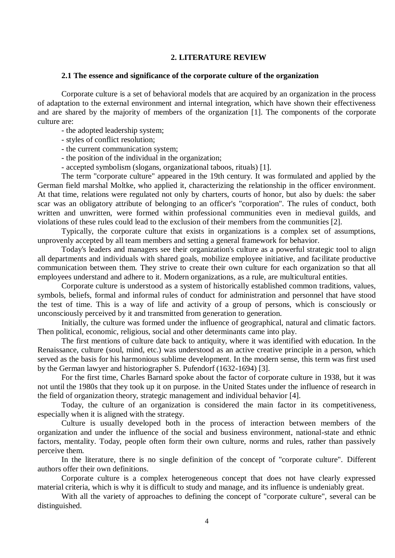## **2. LITERATURE REVIEW**

#### **2.1 The essence and significance of the corporate culture of the organization**

Corporate culture is a set of behavioral models that are acquired by an organization in the process of adaptation to the external environment and internal integration, which have shown their effectiveness and are shared by the majority of members of the organization [1]. The components of the corporate culture are:

- the adopted leadership system;
- styles of conflict resolution;
- the current communication system;
- the position of the individual in the organization;
- accepted symbolism (slogans, organizational taboos, rituals) [1].

The term "corporate culture" appeared in the 19th century. It was formulated and applied by the German field marshal Moltke, who applied it, characterizing the relationship in the officer environment. At that time, relations were regulated not only by charters, courts of honor, but also by duels: the saber scar was an obligatory attribute of belonging to an officer's "corporation". The rules of conduct, both written and unwritten, were formed within professional communities even in medieval guilds, and violations of these rules could lead to the exclusion of their members from the communities [2].

Typically, the corporate culture that exists in organizations is a complex set of assumptions, unprovenly accepted by all team members and setting a general framework for behavior.

Today's leaders and managers see their organization's culture as a powerful strategic tool to align all departments and individuals with shared goals, mobilize employee initiative, and facilitate productive communication between them. They strive to create their own culture for each organization so that all employees understand and adhere to it. Modern organizations, as a rule, are multicultural entities.

Corporate culture is understood as a system of historically established common traditions, values, symbols, beliefs, formal and informal rules of conduct for administration and personnel that have stood the test of time. This is a way of life and activity of a group of persons, which is consciously or unconsciously perceived by it and transmitted from generation to generation.

Initially, the culture was formed under the influence of geographical, natural and climatic factors. Then political, economic, religious, social and other determinants came into play.

The first mentions of culture date back to antiquity, where it was identified with education. In the Renaissance, culture (soul, mind, etc.) was understood as an active creative principle in a person, which served as the basis for his harmonious sublime development. In the modern sense, this term was first used by the German lawyer and historiographer S. Pufendorf (1632-1694) [3].

For the first time, Charles Barnard spoke about the factor of corporate culture in 1938, but it was not until the 1980s that they took up it on purpose. in the United States under the influence of research in the field of organization theory, strategic management and individual behavior [4].

Today, the culture of an organization is considered the main factor in its competitiveness, especially when it is aligned with the strategy.

Culture is usually developed both in the process of interaction between members of the organization and under the influence of the social and business environment, national-state and ethnic factors, mentality. Today, people often form their own culture, norms and rules, rather than passively perceive them.

In the literature, there is no single definition of the concept of "corporate culture". Different authors offer their own definitions.

Corporate culture is a complex heterogeneous concept that does not have clearly expressed material criteria, which is why it is difficult to study and manage, and its influence is undeniably great.

With all the variety of approaches to defining the concept of "corporate culture", several can be distinguished.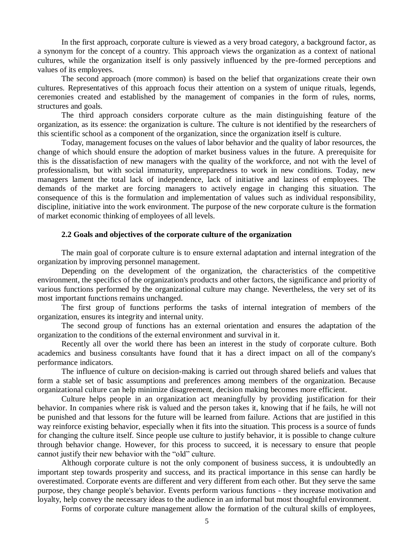In the first approach, corporate culture is viewed as a very broad category, a background factor, as a synonym for the concept of a country. This approach views the organization as a context of national cultures, while the organization itself is only passively influenced by the pre-formed perceptions and values of its employees.

The second approach (more common) is based on the belief that organizations create their own cultures. Representatives of this approach focus their attention on a system of unique rituals, legends, ceremonies created and established by the management of companies in the form of rules, norms, structures and goals.

The third approach considers corporate culture as the main distinguishing feature of the organization, as its essence: the organization is culture. The culture is not identified by the researchers of this scientific school as a component of the organization, since the organization itself is culture.

Today, management focuses on the values of labor behavior and the quality of labor resources, the change of which should ensure the adoption of market business values in the future. A prerequisite for this is the dissatisfaction of new managers with the quality of the workforce, and not with the level of professionalism, but with social immaturity, unpreparedness to work in new conditions. Today, new managers lament the total lack of independence, lack of initiative and laziness of employees. The demands of the market are forcing managers to actively engage in changing this situation. The consequence of this is the formulation and implementation of values such as individual responsibility, discipline, initiative into the work environment. The purpose of the new corporate culture is the formation of market economic thinking of employees of all levels.

#### **2.2 Goals and objectives of the corporate culture of the organization**

The main goal of corporate culture is to ensure external adaptation and internal integration of the organization by improving personnel management.

Depending on the development of the organization, the characteristics of the competitive environment, the specifics of the organization's products and other factors, the significance and priority of various functions performed by the organizational culture may change. Nevertheless, the very set of its most important functions remains unchanged.

The first group of functions performs the tasks of internal integration of members of the organization, ensures its integrity and internal unity.

The second group of functions has an external orientation and ensures the adaptation of the organization to the conditions of the external environment and survival in it.

Recently all over the world there has been an interest in the study of corporate culture. Both academics and business consultants have found that it has a direct impact on all of the company's performance indicators.

The influence of culture on decision-making is carried out through shared beliefs and values that form a stable set of basic assumptions and preferences among members of the organization. Because organizational culture can help minimize disagreement, decision making becomes more efficient.

Culture helps people in an organization act meaningfully by providing justification for their behavior. In companies where risk is valued and the person takes it, knowing that if he fails, he will not be punished and that lessons for the future will be learned from failure. Actions that are justified in this way reinforce existing behavior, especially when it fits into the situation. This process is a source of funds for changing the culture itself. Since people use culture to justify behavior, it is possible to change culture through behavior change. However, for this process to succeed, it is necessary to ensure that people cannot justify their new behavior with the "old" culture.

Although corporate culture is not the only component of business success, it is undoubtedly an important step towards prosperity and success, and its practical importance in this sense can hardly be overestimated. Corporate events are different and very different from each other. But they serve the same purpose, they change people's behavior. Events perform various functions - they increase motivation and loyalty, help convey the necessary ideas to the audience in an informal but most thoughtful environment.

Forms of corporate culture management allow the formation of the cultural skills of employees,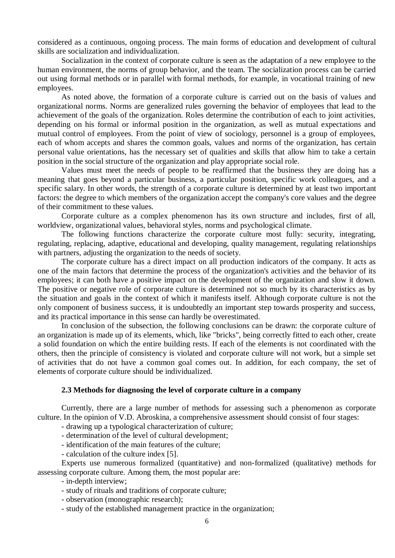considered as a continuous, ongoing process. The main forms of education and development of cultural skills are socialization and individualization.

Socialization in the context of corporate culture is seen as the adaptation of a new employee to the human environment, the norms of group behavior, and the team. The socialization process can be carried out using formal methods or in parallel with formal methods, for example, in vocational training of new employees.

As noted above, the formation of a corporate culture is carried out on the basis of values and organizational norms. Norms are generalized rules governing the behavior of employees that lead to the achievement of the goals of the organization. Roles determine the contribution of each to joint activities, depending on his formal or informal position in the organization, as well as mutual expectations and mutual control of employees. From the point of view of sociology, personnel is a group of employees, each of whom accepts and shares the common goals, values and norms of the organization, has certain personal value orientations, has the necessary set of qualities and skills that allow him to take a certain position in the social structure of the organization and play appropriate social role.

Values must meet the needs of people to be reaffirmed that the business they are doing has a meaning that goes beyond a particular business, a particular position, specific work colleagues, and a specific salary. In other words, the strength of a corporate culture is determined by at least two important factors: the degree to which members of the organization accept the company's core values and the degree of their commitment to these values.

Corporate culture as a complex phenomenon has its own structure and includes, first of all, worldview, organizational values, behavioral styles, norms and psychological climate.

The following functions characterize the corporate culture most fully: security, integrating, regulating, replacing, adaptive, educational and developing, quality management, regulating relationships with partners, adjusting the organization to the needs of society.

The corporate culture has a direct impact on all production indicators of the company. It acts as one of the main factors that determine the process of the organization's activities and the behavior of its employees; it can both have a positive impact on the development of the organization and slow it down. The positive or negative role of corporate culture is determined not so much by its characteristics as by the situation and goals in the context of which it manifests itself. Although corporate culture is not the only component of business success, it is undoubtedly an important step towards prosperity and success, and its practical importance in this sense can hardly be overestimated.

In conclusion of the subsection, the following conclusions can be drawn: the corporate culture of an organization is made up of its elements, which, like "bricks", being correctly fitted to each other, create a solid foundation on which the entire building rests. If each of the elements is not coordinated with the others, then the principle of consistency is violated and corporate culture will not work, but a simple set of activities that do not have a common goal comes out. In addition, for each company, the set of elements of corporate culture should be individualized.

## **2.3 Methods for diagnosing the level of corporate culture in a company**

Currently, there are a large number of methods for assessing such a phenomenon as corporate culture. In the opinion of V.D. Abroskina, a comprehensive assessment should consist of four stages:

- drawing up a typological characterization of culture;

- determination of the level of cultural development;

- identification of the main features of the culture;

- calculation of the culture index [5].

Experts use numerous formalized (quantitative) and non-formalized (qualitative) methods for assessing corporate culture. Among them, the most popular are:

- in-depth interview;

- study of rituals and traditions of corporate culture;

- observation (monographic research);

- study of the established management practice in the organization;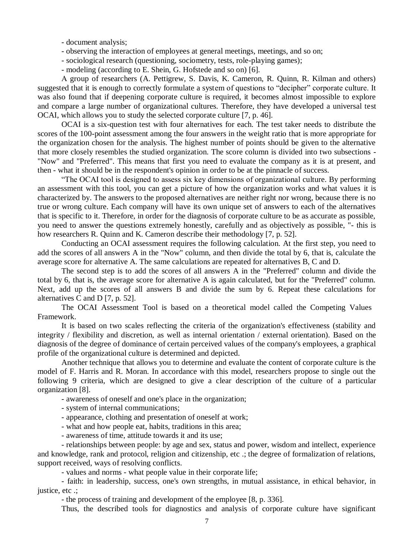- document analysis;

- observing the interaction of employees at general meetings, meetings, and so on;
- sociological research (questioning, sociometry, tests, role-playing games);
- modeling (according to E. Shein, G. Hofstede and so on) [6].

А group of researchers (A. Pettigrew, S. Davis, K. Cameron, R. Quinn, R. Kilman and others) suggested that it is enough to correctly formulate a system of questions to "decipher" corporate culture. It was also found that if deepening corporate culture is required, it becomes almost impossible to explore and compare a large number of organizational cultures. Therefore, they have developed a universal test OCAI, which allows you to study the selected corporate culture [7, p. 46].

OCAI is a six-question test with four alternatives for each. The test taker needs to distribute the scores of the 100-point assessment among the four answers in the weight ratio that is more appropriate for the organization chosen for the analysis. The highest number of points should be given to the alternative that more closely resembles the studied organization. The score column is divided into two subsections - "Now" and "Preferred". This means that first you need to evaluate the company as it is at present, and then - what it should be in the respondent's opinion in order to be at the pinnacle of success.

"The OCAI tool is designed to assess six key dimensions of organizational culture. By performing an assessment with this tool, you can get a picture of how the organization works and what values it is characterized by. The answers to the proposed alternatives are neither right nor wrong, because there is no true or wrong culture. Each company will have its own unique set of answers to each of the alternatives that is specific to it. Therefore, in order for the diagnosis of corporate culture to be as accurate as possible, you need to answer the questions extremely honestly, carefully and as objectively as possible, "- this is how researchers R. Quinn and K. Cameron describe their methodology [7, p. 52].

Conducting an OCAI assessment requires the following calculation. At the first step, you need to add the scores of all answers A in the "Now" column, and then divide the total by 6, that is, calculate the average score for alternative A. The same calculations are repeated for alternatives B, C and D.

The second step is to add the scores of all answers A in the "Preferred" column and divide the total by 6, that is, the average score for alternative A is again calculated, but for the "Preferred" column. Next, add up the scores of all answers B and divide the sum by 6. Repeat these calculations for alternatives C and D [7, p. 52].

The OCAI Assessment Tool is based on a theoretical model called the Competing Values Framework.

It is based on two scales reflecting the criteria of the organization's effectiveness (stability and integrity / flexibility and discretion, as well as internal orientation / external orientation). Based on the diagnosis of the degree of dominance of certain perceived values of the company's employees, a graphical profile of the organizational culture is determined and depicted.

Another technique that allows you to determine and evaluate the content of corporate culture is the model of F. Harris and R. Moran. In accordance with this model, researchers propose to single out the following 9 criteria, which are designed to give a clear description of the culture of a particular organization [8].

- awareness of oneself and one's place in the organization;

- system of internal communications;

- appearance, clothing and presentation of oneself at work;

- what and how people eat, habits, traditions in this area;

- awareness of time, attitude towards it and its use;

- relationships between people: by age and sex, status and power, wisdom and intellect, experience and knowledge, rank and protocol, religion and citizenship, etc .; the degree of formalization of relations, support received, ways of resolving conflicts.

- values and norms - what people value in their corporate life;

- faith: in leadership, success, one's own strengths, in mutual assistance, in ethical behavior, in justice, etc.:

- the process of training and development of the employee [8, p. 336].

Thus, the described tools for diagnostics and analysis of corporate culture have significant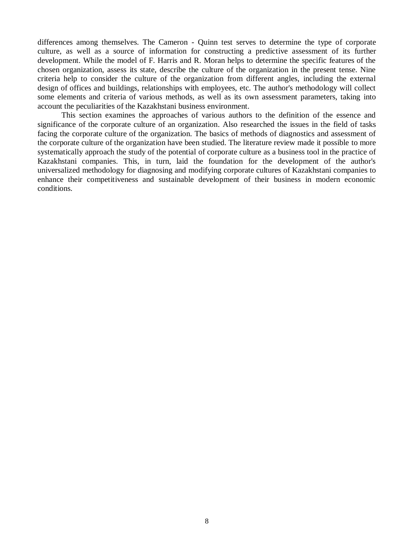differences among themselves. The Cameron - Quinn test serves to determine the type of corporate culture, as well as a source of information for constructing a predictive assessment of its further development. While the model of F. Harris and R. Moran helps to determine the specific features of the chosen organization, assess its state, describe the culture of the organization in the present tense. Nine criteria help to consider the culture of the organization from different angles, including the external design of offices and buildings, relationships with employees, etc. The author's methodology will collect some elements and criteria of various methods, as well as its own assessment parameters, taking into account the peculiarities of the Kazakhstani business environment.

This section examines the approaches of various authors to the definition of the essence and significance of the corporate culture of an organization. Also researched the issues in the field of tasks facing the corporate culture of the organization. The basics of methods of diagnostics and assessment of the corporate culture of the organization have been studied. The literature review made it possible to more systematically approach the study of the potential of corporate culture as a business tool in the practice of Kazakhstani companies. This, in turn, laid the foundation for the development of the author's universalized methodology for diagnosing and modifying corporate cultures of Kazakhstani companies to enhance their competitiveness and sustainable development of their business in modern economic conditions.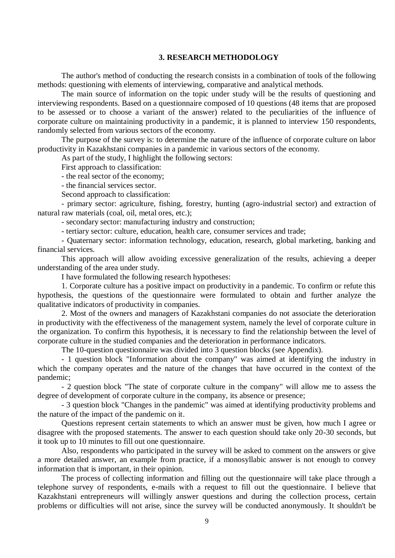## **3. RESEARCH METHODOLOGY**

The author's method of conducting the research consists in a combination of tools of the following methods: questioning with elements of interviewing, comparative and analytical methods.

The main source of information on the topic under study will be the results of questioning and interviewing respondents. Based on a questionnaire composed of 10 questions (48 items that are proposed to be assessed or to choose a variant of the answer) related to the peculiarities of the influence of corporate culture on maintaining productivity in a pandemic, it is planned to interview 150 respondents, randomly selected from various sectors of the economy.

The purpose of the survey is: to determine the nature of the influence of corporate culture on labor productivity in Kazakhstani companies in a pandemic in various sectors of the economy.

As part of the study, I highlight the following sectors:

First approach to classification:

- the real sector of the economy;

- the financial services sector.

Second approach to classification:

- primary sector: agriculture, fishing, forestry, hunting (agro-industrial sector) and extraction of natural raw materials (coal, oil, metal ores, etc.);

- secondary sector: manufacturing industry and construction;

- tertiary sector: culture, education, health care, consumer services and trade;

- Quaternary sector: information technology, education, research, global marketing, banking and financial services.

This approach will allow avoiding excessive generalization of the results, achieving a deeper understanding of the area under study.

I have formulated the following research hypotheses:

1. Corporate culture has a positive impact on productivity in a pandemic. To confirm or refute this hypothesis, the questions of the questionnaire were formulated to obtain and further analyze the qualitative indicators of productivity in companies.

2. Most of the owners and managers of Kazakhstani companies do not associate the deterioration in productivity with the effectiveness of the management system, namely the level of corporate culture in the organization. To confirm this hypothesis, it is necessary to find the relationship between the level of corporate culture in the studied companies and the deterioration in performance indicators.

The 10-question questionnaire was divided into 3 question blocks (see Appendix).

- 1 question block "Information about the company" was aimed at identifying the industry in which the company operates and the nature of the changes that have occurred in the context of the pandemic;

- 2 question block "The state of corporate culture in the company" will allow me to assess the degree of development of corporate culture in the company, its absence or presence;

- 3 question block "Changes in the pandemic" was aimed at identifying productivity problems and the nature of the impact of the pandemic on it.

Questions represent certain statements to which an answer must be given, how much I agree or disagree with the proposed statements. The answer to each question should take only 20-30 seconds, but it took up to 10 minutes to fill out one questionnaire.

Also, respondents who participated in the survey will be asked to comment on the answers or give a more detailed answer, an example from practice, if a monosyllabic answer is not enough to convey information that is important, in their opinion.

The process of collecting information and filling out the questionnaire will take place through a telephone survey of respondents, e-mails with a request to fill out the questionnaire. I believe that Kazakhstani entrepreneurs will willingly answer questions and during the collection process, certain problems or difficulties will not arise, since the survey will be conducted anonymously. It shouldn't be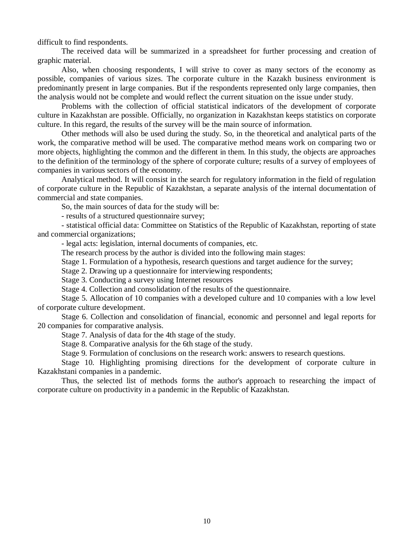difficult to find respondents.

The received data will be summarized in a spreadsheet for further processing and creation of graphic material.

Also, when choosing respondents, I will strive to cover as many sectors of the economy as possible, companies of various sizes. The corporate culture in the Kazakh business environment is predominantly present in large companies. But if the respondents represented only large companies, then the analysis would not be complete and would reflect the current situation on the issue under study.

Problems with the collection of official statistical indicators of the development of corporate culture in Kazakhstan are possible. Officially, no organization in Kazakhstan keeps statistics on corporate culture. In this regard, the results of the survey will be the main source of information.

Other methods will also be used during the study. So, in the theoretical and analytical parts of the work, the comparative method will be used. The comparative method means work on comparing two or more objects, highlighting the common and the different in them. In this study, the objects are approaches to the definition of the terminology of the sphere of corporate culture; results of a survey of employees of companies in various sectors of the economy.

Analytical method. It will consist in the search for regulatory information in the field of regulation of corporate culture in the Republic of Kazakhstan, a separate analysis of the internal documentation of commercial and state companies.

So, the main sources of data for the study will be:

- results of a structured questionnaire survey;

- statistical official data: Committee on Statistics of the Republic of Kazakhstan, reporting of state and commercial organizations;

- legal acts: legislation, internal documents of companies, etc.

The research process by the author is divided into the following main stages:

Stage 1. Formulation of a hypothesis, research questions and target audience for the survey;

Stage 2. Drawing up a questionnaire for interviewing respondents;

Stage 3. Conducting a survey using Internet resources

Stage 4. Collection and consolidation of the results of the questionnaire.

Stage 5. Allocation of 10 companies with a developed culture and 10 companies with a low level of corporate culture development.

Stage 6. Collection and consolidation of financial, economic and personnel and legal reports for 20 companies for comparative analysis.

Stage 7. Analysis of data for the 4th stage of the study.

Stage 8. Comparative analysis for the 6th stage of the study.

Stage 9. Formulation of conclusions on the research work: answers to research questions.

Stage 10. Highlighting promising directions for the development of corporate culture in Kazakhstani companies in a pandemic.

Thus, the selected list of methods forms the author's approach to researching the impact of corporate culture on productivity in a pandemic in the Republic of Kazakhstan.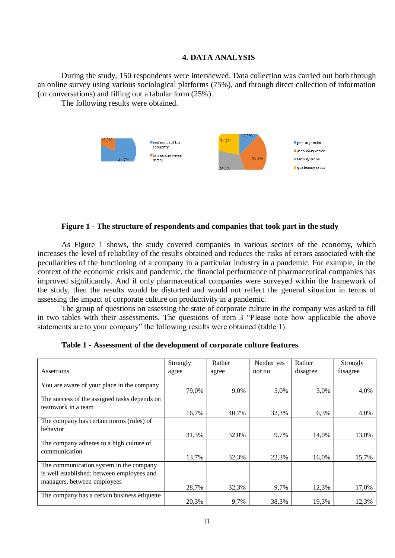## **4. DATA ANALYSIS**

During the study, 150 respondents were interviewed. Data collection was carried out both through an online survey using various sociological platforms (75%), and through direct collection of information (or conversations) and filling out a tabular form (25%).

The following results were obtained.



#### **Figure 1 - The structure of respondents and companies that took part in the study**

As Figure 1 shows, the study covered companies in various sectors of the economy, which increases the level of reliability of the results obtained and reduces the risks of errors associated with the peculiarities of the functioning of a company in a particular industry in a pandemic. For example, in the context of the economic crisis and pandemic, the financial performance of pharmaceutical companies has improved significantly. And if only pharmaceutical companies were surveyed within the framework of the study, then the results would be distorted and would not reflect the general situation in terms of assessing the impact of corporate culture on productivity in a pandemic.

The group of questions on assessing the state of corporate culture in the company was asked to fill in two tables with their assessments. The questions of item 3 "Please note how applicable the above statements are to your company" the following results were obtained (table 1).

|                                              | Strongly | Rather | Neither yes | Rather   | Strongly |
|----------------------------------------------|----------|--------|-------------|----------|----------|
| Assertions                                   | agree    | agree  | nor no      | disagree | disagree |
|                                              |          |        |             |          |          |
| You are aware of your place in the company   | 79,0%    | 9,0%   | 5,0%        | 3,0%     | 4,0%     |
| The success of the assigned tasks depends on |          |        |             |          |          |
| teamwork in a team                           |          |        |             |          |          |
|                                              | 16,7%    | 40,7%  | 32,3%       | 6,3%     | 4,0%     |
| The company has certain norms (rules) of     |          |        |             |          |          |
| behavior                                     |          |        |             |          |          |
|                                              | 31,3%    | 32,0%  | 9,7%        | 14,0%    | 13,0%    |
| The company adheres to a high culture of     |          |        |             |          |          |
| communication                                |          |        |             |          |          |
|                                              | 13,7%    | 32,3%  | 22,3%       | 16,0%    | 15,7%    |
| The communication system in the company      |          |        |             |          |          |
| is well established: between employees and   |          |        |             |          |          |
| managers, between employees                  |          |        |             |          |          |
|                                              | 28,7%    | 32,3%  | 9,7%        | 12,3%    | 17,0%    |
| The company has a certain business etiquette |          |        |             |          |          |
|                                              | 20,3%    | 9,7%   | 38,3%       | 19,3%    | 12,3%    |

**Table 1 - Assessment of the development of corporate culture features**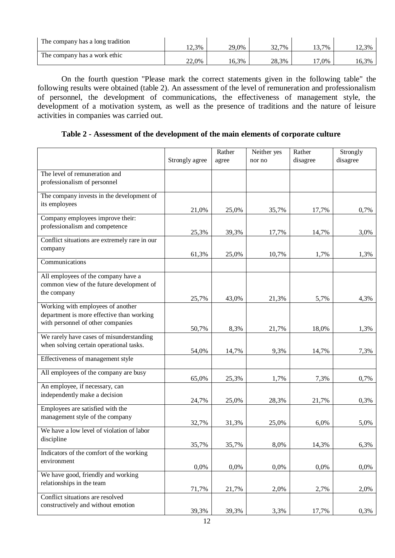| The company has a long tradition | $12,3\%$ | 29.0% | 32.7% | $.3,7\%$ | 12,3% |
|----------------------------------|----------|-------|-------|----------|-------|
| The company has a work ethic     | $22,0\%$ | 16,3% | 28.3% | $,0\%$   | 16.3% |

On the fourth question "Please mark the correct statements given in the following table" the following results were obtained (table 2). An assessment of the level of remuneration and professionalism of personnel, the development of communications, the effectiveness of management style, the development of a motivation system, as well as the presence of traditions and the nature of leisure activities in companies was carried out.

**Table 2 - Assessment of the development of the main elements of corporate culture**

|                                                                                 | Strongly agree | Rather<br>agree | Neither yes<br>nor no | Rather<br>disagree | Strongly<br>disagree |
|---------------------------------------------------------------------------------|----------------|-----------------|-----------------------|--------------------|----------------------|
|                                                                                 |                |                 |                       |                    |                      |
| The level of remuneration and                                                   |                |                 |                       |                    |                      |
| professionalism of personnel                                                    |                |                 |                       |                    |                      |
| The company invests in the development of                                       |                |                 |                       |                    |                      |
| its employees                                                                   |                |                 |                       |                    |                      |
| Company employees improve their:                                                | 21,0%          | 25,0%           | 35,7%                 | 17,7%              | 0,7%                 |
| professionalism and competence                                                  |                |                 |                       |                    |                      |
|                                                                                 | 25,3%          | 39,3%           | 17,7%                 | 14,7%              | 3,0%                 |
| Conflict situations are extremely rare in our                                   |                |                 |                       |                    |                      |
| company                                                                         | 61,3%          | 25,0%           | 10,7%                 | 1,7%               | 1,3%                 |
| Communications                                                                  |                |                 |                       |                    |                      |
|                                                                                 |                |                 |                       |                    |                      |
| All employees of the company have a<br>common view of the future development of |                |                 |                       |                    |                      |
| the company                                                                     |                |                 |                       |                    |                      |
|                                                                                 | 25,7%          | 43,0%           | 21,3%                 | 5,7%               | 4,3%                 |
| Working with employees of another                                               |                |                 |                       |                    |                      |
| department is more effective than working                                       |                |                 |                       |                    |                      |
| with personnel of other companies                                               | 50,7%          | 8,3%            | 21,7%                 | 18,0%              | 1,3%                 |
| We rarely have cases of misunderstanding                                        |                |                 |                       |                    |                      |
| when solving certain operational tasks.                                         |                |                 |                       |                    |                      |
| Effectiveness of management style                                               | 54,0%          | 14,7%           | 9,3%                  | 14,7%              | 7,3%                 |
|                                                                                 |                |                 |                       |                    |                      |
| All employees of the company are busy                                           | 65,0%          | 25,3%           | 1,7%                  | 7,3%               | 0,7%                 |
| An employee, if necessary, can                                                  |                |                 |                       |                    |                      |
| independently make a decision                                                   | 24,7%          | 25,0%           | 28,3%                 | 21,7%              | 0,3%                 |
| Employees are satisfied with the                                                |                |                 |                       |                    |                      |
| management style of the company                                                 |                |                 |                       |                    |                      |
|                                                                                 | 32,7%          | 31,3%           | 25,0%                 | 6,0%               | 5,0%                 |
| We have a low level of violation of labor                                       |                |                 |                       |                    |                      |
| discipline                                                                      | 35,7%          | 35,7%           | 8,0%                  | 14,3%              | 6,3%                 |
| Indicators of the comfort of the working                                        |                |                 |                       |                    |                      |
| environment                                                                     |                |                 |                       |                    |                      |
| We have good, friendly and working                                              | 0,0%           | 0,0%            | 0,0%                  | 0,0%               | 0,0%                 |
| relationships in the team                                                       |                |                 |                       |                    |                      |
|                                                                                 | 71,7%          | 21,7%           | 2,0%                  | 2,7%               | 2,0%                 |
| Conflict situations are resolved                                                |                |                 |                       |                    |                      |
| constructively and without emotion                                              | 39,3%          | 39,3%           | 3,3%                  | 17,7%              | 0,3%                 |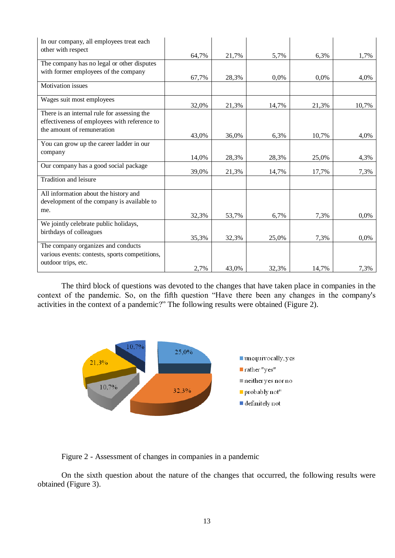| In our company, all employees treat each       |       |       |       |       |       |
|------------------------------------------------|-------|-------|-------|-------|-------|
| other with respect                             | 64,7% |       |       | 6,3%  |       |
| The company has no legal or other disputes     |       | 21,7% | 5,7%  |       | 1,7%  |
| with former employees of the company           |       |       |       |       |       |
|                                                | 67,7% | 28,3% | 0,0%  | 0,0%  | 4,0%  |
| Motivation issues                              |       |       |       |       |       |
| Wages suit most employees                      | 32,0% | 21,3% | 14,7% | 21,3% | 10,7% |
| There is an internal rule for assessing the    |       |       |       |       |       |
| effectiveness of employees with reference to   |       |       |       |       |       |
| the amount of remuneration                     |       |       |       |       |       |
|                                                | 43,0% | 36,0% | 6,3%  | 10,7% | 4,0%  |
| You can grow up the career ladder in our       |       |       |       |       |       |
| company                                        | 14,0% | 28,3% | 28,3% | 25,0% | 4,3%  |
| Our company has a good social package          | 39,0% | 21,3% | 14,7% | 17,7% | 7,3%  |
| Tradition and leisure                          |       |       |       |       |       |
| All information about the history and          |       |       |       |       |       |
| development of the company is available to     |       |       |       |       |       |
| me.                                            |       |       |       |       |       |
|                                                | 32,3% | 53,7% | 6,7%  | 7,3%  | 0,0%  |
| We jointly celebrate public holidays,          |       |       |       |       |       |
| birthdays of colleagues                        | 35,3% | 32,3% | 25,0% | 7,3%  | 0,0%  |
| The company organizes and conducts             |       |       |       |       |       |
| various events: contests, sports competitions, |       |       |       |       |       |
| outdoor trips, etc.                            |       |       |       |       |       |
|                                                | 2,7%  | 43,0% | 32,3% | 14,7% | 7,3%  |

The third block of questions was devoted to the changes that have taken place in companies in the context of the pandemic. So, on the fifth question "Have there been any changes in the company's activities in the context of a pandemic?" The following results were obtained (Figure 2).



Figure 2 - Assessment of changes in companies in a pandemic

On the sixth question about the nature of the changes that occurred, the following results were obtained (Figure 3).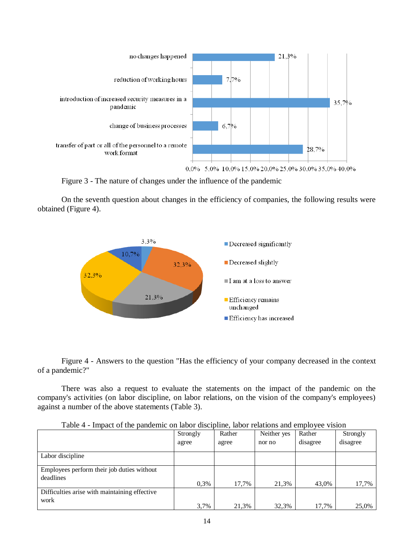

Figure 3 - The nature of changes under the influence of the pandemic

On the seventh question about changes in the efficiency of companies, the following results were obtained (Figure 4).



Figure 4 - Answers to the question "Has the efficiency of your company decreased in the context of a pandemic?"

There was also a request to evaluate the statements on the impact of the pandemic on the company's activities (on labor discipline, on labor relations, on the vision of the company's employees) against a number of the above statements (Table 3).

| T QUIV T<br>THE LOCAL OF THE PRINCIPLE OF RECOT GENERAL RECOT TURKIONS AND UNIVERSITY |                    |       |             |          |          |  |  |
|---------------------------------------------------------------------------------------|--------------------|-------|-------------|----------|----------|--|--|
|                                                                                       | Rather<br>Strongly |       | Neither yes | Rather   | Strongly |  |  |
|                                                                                       | agree<br>agree     |       | nor no      | disagree | disagree |  |  |
|                                                                                       |                    |       |             |          |          |  |  |
| Labor discipline                                                                      |                    |       |             |          |          |  |  |
|                                                                                       |                    |       |             |          |          |  |  |
| Employees perform their job duties without                                            |                    |       |             |          |          |  |  |
| deadlines                                                                             |                    |       |             |          |          |  |  |
|                                                                                       | 0,3%               | 17,7% | 21,3%       | 43,0%    | 17,7%    |  |  |
| Difficulties arise with maintaining effective                                         |                    |       |             |          |          |  |  |
| work                                                                                  |                    |       |             |          |          |  |  |
|                                                                                       | 3,7%               | 21,3% | 32,3%       | 17,7%    | 25,0%    |  |  |

Table 4 - Impact of the pandemic on labor discipline, labor relations and employee vision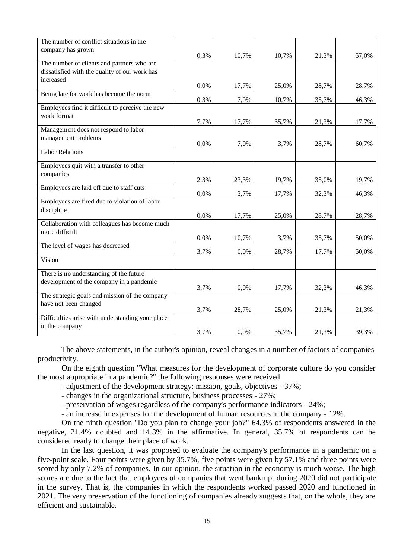| The number of conflict situations in the         |      |       |       |       |       |
|--------------------------------------------------|------|-------|-------|-------|-------|
| company has grown                                | 0,3% | 10,7% | 10,7% | 21,3% | 57,0% |
| The number of clients and partners who are       |      |       |       |       |       |
| dissatisfied with the quality of our work has    |      |       |       |       |       |
| increased                                        | 0,0% | 17,7% | 25,0% | 28,7% | 28,7% |
| Being late for work has become the norm          | 0,3% | 7,0%  | 10,7% | 35,7% | 46,3% |
| Employees find it difficult to perceive the new  |      |       |       |       |       |
| work format                                      | 7,7% | 17,7% | 35,7% | 21,3% | 17,7% |
| Management does not respond to labor             |      |       |       |       |       |
| management problems                              | 0,0% | 7,0%  | 3,7%  | 28,7% | 60,7% |
| <b>Labor Relations</b>                           |      |       |       |       |       |
| Employees quit with a transfer to other          |      |       |       |       |       |
| companies                                        | 2,3% | 23,3% | 19,7% | 35,0% | 19,7% |
| Employees are laid off due to staff cuts         | 0,0% | 3,7%  | 17,7% | 32,3% | 46,3% |
| Employees are fired due to violation of labor    |      |       |       |       |       |
| discipline                                       | 0,0% | 17,7% | 25,0% | 28,7% | 28,7% |
| Collaboration with colleagues has become much    |      |       |       |       |       |
| more difficult                                   | 0,0% | 10,7% | 3,7%  | 35,7% | 50,0% |
| The level of wages has decreased                 | 3,7% | 0,0%  | 28,7% | 17,7% | 50,0% |
| Vision                                           |      |       |       |       |       |
| There is no understanding of the future          |      |       |       |       |       |
| development of the company in a pandemic         | 3,7% | 0,0%  | 17,7% | 32,3% | 46,3% |
| The strategic goals and mission of the company   |      |       |       |       |       |
| have not been changed                            | 3,7% | 28,7% | 25,0% | 21,3% | 21,3% |
| Difficulties arise with understanding your place |      |       |       |       |       |
| in the company                                   | 3,7% | 0,0%  | 35,7% | 21,3% | 39,3% |

The above statements, in the author's opinion, reveal changes in a number of factors of companies' productivity.

On the eighth question "What measures for the development of corporate culture do you consider the most appropriate in a pandemic?" the following responses were received

- adjustment of the development strategy: mission, goals, objectives 37%;
- changes in the organizational structure, business processes 27%;
- preservation of wages regardless of the company's performance indicators 24%;

- an increase in expenses for the development of human resources in the company - 12%.

On the ninth question "Do you plan to change your job?" 64.3% of respondents answered in the negative, 21.4% doubted and 14.3% in the affirmative. In general, 35.7% of respondents can be considered ready to change their place of work.

In the last question, it was proposed to evaluate the company's performance in a pandemic on a five-point scale. Four points were given by 35.7%, five points were given by 57.1% and three points were scored by only 7.2% of companies. In our opinion, the situation in the economy is much worse. The high scores are due to the fact that employees of companies that went bankrupt during 2020 did not participate in the survey. That is, the companies in which the respondents worked passed 2020 and functioned in 2021. The very preservation of the functioning of companies already suggests that, on the whole, they are efficient and sustainable.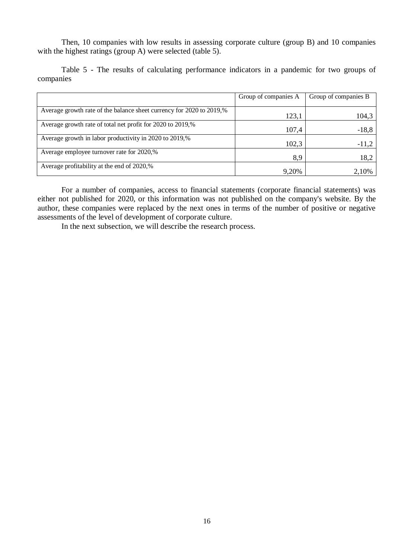Then, 10 companies with low results in assessing corporate culture (group B) and 10 companies with the highest ratings (group A) were selected (table 5).

Table 5 - The results of calculating performance indicators in a pandemic for two groups of companies

|                                                                      | Group of companies A | Group of companies B |
|----------------------------------------------------------------------|----------------------|----------------------|
| Average growth rate of the balance sheet currency for 2020 to 2019,% | 123,1                | 104,3                |
| Average growth rate of total net profit for 2020 to 2019,%           | 107,4                | $-18,8$              |
| Average growth in labor productivity in 2020 to 2019,%               | 102,3                | $-11,2$              |
| Average employee turnover rate for 2020,%                            | 8.9                  | 18,2                 |
| Average profitability at the end of 2020,%                           | 9,20%                | 2,10%                |

For a number of companies, access to financial statements (corporate financial statements) was either not published for 2020, or this information was not published on the company's website. By the author, these companies were replaced by the next ones in terms of the number of positive or negative assessments of the level of development of corporate culture.

In the next subsection, we will describe the research process.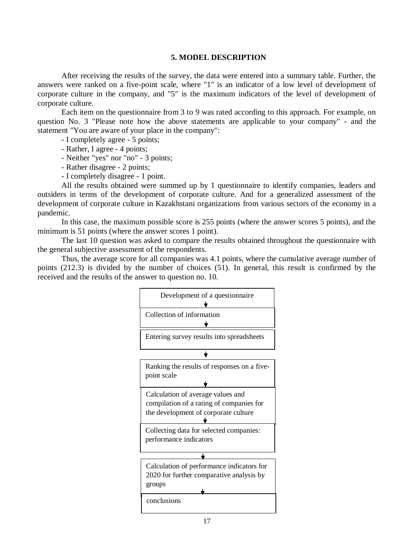#### **5. MODEL DESCRIPTION**

After receiving the results of the survey, the data were entered into a summary table. Further, the answers were ranked on a five-point scale, where "1" is an indicator of a low level of development of corporate culture in the company, and "5" is the maximum indicators of the level of development of corporate culture.

Each item on the questionnaire from 3 to 9 was rated according to this approach. For example, on question No. 3 "Please note how the above statements are applicable to your company" - and the statement "You are aware of your place in the company":

- I completely agree - 5 points;

- Rather, I agree - 4 points;

- Neither "yes" nor "no" - 3 points;

- Rather disagree - 2 points;

- I completely disagree - 1 point.

All the results obtained were summed up by 1 questionnaire to identify companies, leaders and outsiders in terms of the development of corporate culture. And for a generalized assessment of the development of corporate culture in Kazakhstani organizations from various sectors of the economy in a pandemic.

In this case, the maximum possible score is 255 points (where the answer scores 5 points), and the minimum is 51 points (where the answer scores 1 point).

The last 10 question was asked to compare the results obtained throughout the questionnaire with the general subjective assessment of the respondents.

Thus, the average score for all companies was 4.1 points, where the cumulative average number of points (212.3) is divided by the number of choices (51). In general, this result is confirmed by the received and the results of the answer to question no. 10.



17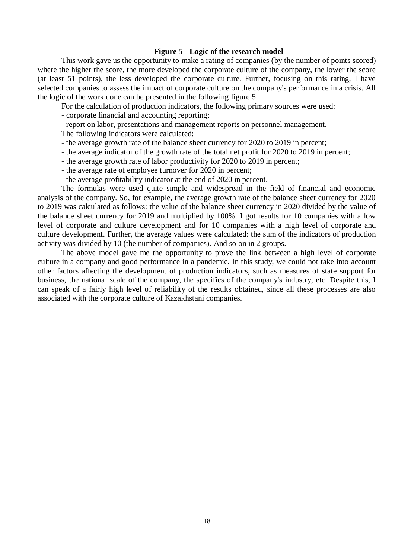## **Figure 5 - Logic of the research model**

This work gave us the opportunity to make a rating of companies (by the number of points scored) where the higher the score, the more developed the corporate culture of the company, the lower the score (at least 51 points), the less developed the corporate culture. Further, focusing on this rating, I have selected companies to assess the impact of corporate culture on the company's performance in a crisis. All the logic of the work done can be presented in the following figure 5.

For the calculation of production indicators, the following primary sources were used:

- corporate financial and accounting reporting;

- report on labor, presentations and management reports on personnel management.

The following indicators were calculated:

- the average growth rate of the balance sheet currency for 2020 to 2019 in percent;
- the average indicator of the growth rate of the total net profit for 2020 to 2019 in percent;
- the average growth rate of labor productivity for 2020 to 2019 in percent;
- the average rate of employee turnover for 2020 in percent;
- the average profitability indicator at the end of 2020 in percent.

The formulas were used quite simple and widespread in the field of financial and economic analysis of the company. So, for example, the average growth rate of the balance sheet currency for 2020 to 2019 was calculated as follows: the value of the balance sheet currency in 2020 divided by the value of the balance sheet currency for 2019 and multiplied by 100%. I got results for 10 companies with a low level of corporate and culture development and for 10 companies with a high level of corporate and culture development. Further, the average values were calculated: the sum of the indicators of production activity was divided by 10 (the number of companies). And so on in 2 groups.

The above model gave me the opportunity to prove the link between a high level of corporate culture in a company and good performance in a pandemic. In this study, we could not take into account other factors affecting the development of production indicators, such as measures of state support for business, the national scale of the company, the specifics of the company's industry, etc. Despite this, I can speak of a fairly high level of reliability of the results obtained, since all these processes are also associated with the corporate culture of Kazakhstani companies.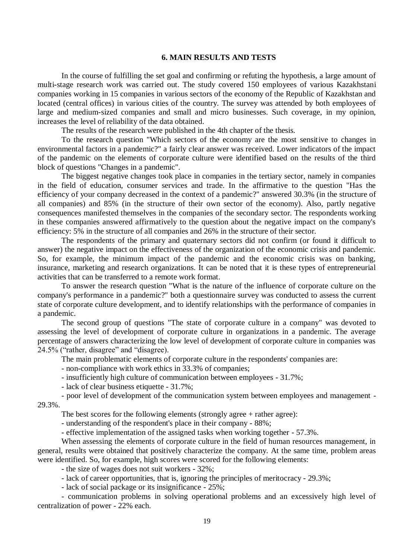## **6. MAIN RESULTS AND TESTS**

In the course of fulfilling the set goal and confirming or refuting the hypothesis, a large amount of multi-stage research work was carried out. The study covered 150 employees of various Kazakhstani companies working in 15 companies in various sectors of the economy of the Republic of Kazakhstan and located (central offices) in various cities of the country. The survey was attended by both employees of large and medium-sized companies and small and micro businesses. Such coverage, in my opinion, increases the level of reliability of the data obtained.

The results of the research were published in the 4th chapter of the thesis.

To the research question "Which sectors of the economy are the most sensitive to changes in environmental factors in a pandemic?" a fairly clear answer was received. Lower indicators of the impact of the pandemic on the elements of corporate culture were identified based on the results of the third block of questions "Changes in a pandemic".

The biggest negative changes took place in companies in the tertiary sector, namely in companies in the field of education, consumer services and trade. In the affirmative to the question "Has the efficiency of your company decreased in the context of a pandemic?" answered 30.3% (in the structure of all companies) and 85% (in the structure of their own sector of the economy). Also, partly negative consequences manifested themselves in the companies of the secondary sector. The respondents working in these companies answered affirmatively to the question about the negative impact on the company's efficiency: 5% in the structure of all companies and 26% in the structure of their sector.

The respondents of the primary and quaternary sectors did not confirm (or found it difficult to answer) the negative impact on the effectiveness of the organization of the economic crisis and pandemic. So, for example, the minimum impact of the pandemic and the economic crisis was on banking, insurance, marketing and research organizations. It can be noted that it is these types of entrepreneurial activities that can be transferred to a remote work format.

To answer the research question "What is the nature of the influence of corporate culture on the company's performance in a pandemic?" both a questionnaire survey was conducted to assess the current state of corporate culture development, and to identify relationships with the performance of companies in a pandemic.

The second group of questions "The state of corporate culture in a company" was devoted to assessing the level of development of corporate culture in organizations in a pandemic. The average percentage of answers characterizing the low level of development of corporate culture in companies was 24.5% ("rather, disagree" and "disagree).

The main problematic elements of corporate culture in the respondents' companies are:

- non-compliance with work ethics in 33.3% of companies;

- insufficiently high culture of communication between employees - 31.7%;

- lack of clear business etiquette - 31.7%;

- poor level of development of the communication system between employees and management - 29.3%.

The best scores for the following elements (strongly agree + rather agree):

- understanding of the respondent's place in their company - 88%;

- effective implementation of the assigned tasks when working together - 57.3%.

When assessing the elements of corporate culture in the field of human resources management, in general, results were obtained that positively characterize the company. At the same time, problem areas were identified. So, for example, high scores were scored for the following elements:

- the size of wages does not suit workers - 32%;

- lack of career opportunities, that is, ignoring the principles of meritocracy - 29.3%;

- lack of social package or its insignificance - 25%;

- communication problems in solving operational problems and an excessively high level of centralization of power - 22% each.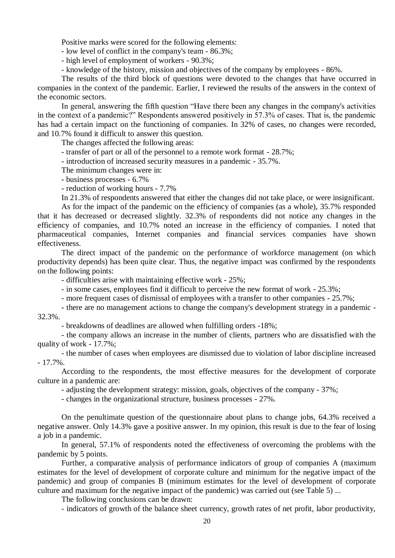Positive marks were scored for the following elements:

- low level of conflict in the company's team - 86.3%;

- high level of employment of workers - 90.3%;

- knowledge of the history, mission and objectives of the company by employees - 86%.

The results of the third block of questions were devoted to the changes that have occurred in companies in the context of the pandemic. Earlier, I reviewed the results of the answers in the context of the economic sectors.

In general, answering the fifth question "Have there been any changes in the company's activities in the context of a pandemic?" Respondents answered positively in 57.3% of cases. That is, the pandemic has had a certain impact on the functioning of companies. In 32% of cases, no changes were recorded, and 10.7% found it difficult to answer this question.

The changes affected the following areas:

- transfer of part or all of the personnel to a remote work format - 28.7%;

- introduction of increased security measures in a pandemic - 35.7%.

The minimum changes were in:

- business processes - 6.7%

- reduction of working hours - 7.7%

In 21.3% of respondents answered that either the changes did not take place, or were insignificant.

As for the impact of the pandemic on the efficiency of companies (as a whole), 35.7% responded that it has decreased or decreased slightly. 32.3% of respondents did not notice any changes in the efficiency of companies, and 10.7% noted an increase in the efficiency of companies. I noted that pharmaceutical companies, Internet companies and financial services companies have shown effectiveness.

The direct impact of the pandemic on the performance of workforce management (on which productivity depends) has been quite clear. Thus, the negative impact was confirmed by the respondents on the following points:

- difficulties arise with maintaining effective work - 25%;

- in some cases, employees find it difficult to perceive the new format of work - 25.3%;

- more frequent cases of dismissal of employees with a transfer to other companies - 25.7%;

- there are no management actions to change the company's development strategy in a pandemic - 32.3%.

- breakdowns of deadlines are allowed when fulfilling orders -18%;

- the company allows an increase in the number of clients, partners who are dissatisfied with the quality of work - 17.7%;

- the number of cases when employees are dismissed due to violation of labor discipline increased - 17.7%.

According to the respondents, the most effective measures for the development of corporate culture in a pandemic are:

- adjusting the development strategy: mission, goals, objectives of the company - 37%;

- changes in the organizational structure, business processes - 27%.

On the penultimate question of the questionnaire about plans to change jobs, 64.3% received a negative answer. Only 14.3% gave a positive answer. In my opinion, this result is due to the fear of losing a job in a pandemic.

In general, 57.1% of respondents noted the effectiveness of overcoming the problems with the pandemic by 5 points.

Further, a comparative analysis of performance indicators of group of companies A (maximum estimates for the level of development of corporate culture and minimum for the negative impact of the pandemic) and group of companies B (minimum estimates for the level of development of corporate culture and maximum for the negative impact of the pandemic) was carried out (see Table 5) ...

The following conclusions can be drawn:

- indicators of growth of the balance sheet currency, growth rates of net profit, labor productivity,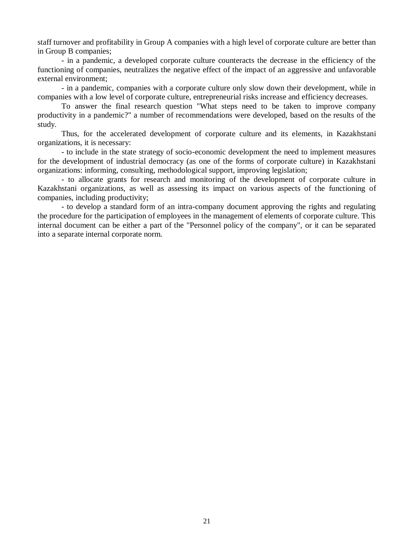staff turnover and profitability in Group A companies with a high level of corporate culture are better than in Group B companies;

- in a pandemic, a developed corporate culture counteracts the decrease in the efficiency of the functioning of companies, neutralizes the negative effect of the impact of an aggressive and unfavorable external environment;

- in a pandemic, companies with a corporate culture only slow down their development, while in companies with a low level of corporate culture, entrepreneurial risks increase and efficiency decreases.

To answer the final research question "What steps need to be taken to improve company productivity in a pandemic?" a number of recommendations were developed, based on the results of the study.

Thus, for the accelerated development of corporate culture and its elements, in Kazakhstani organizations, it is necessary:

- to include in the state strategy of socio-economic development the need to implement measures for the development of industrial democracy (as one of the forms of corporate culture) in Kazakhstani organizations: informing, consulting, methodological support, improving legislation;

- to allocate grants for research and monitoring of the development of corporate culture in Kazakhstani organizations, as well as assessing its impact on various aspects of the functioning of companies, including productivity;

- to develop a standard form of an intra-company document approving the rights and regulating the procedure for the participation of employees in the management of elements of corporate culture. This internal document can be either a part of the "Personnel policy of the company", or it can be separated into a separate internal corporate norm.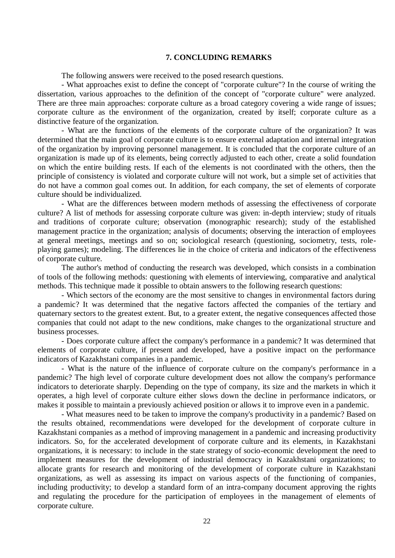#### **7. CONCLUDING REMARKS**

The following answers were received to the posed research questions.

- What approaches exist to define the concept of "corporate culture"? In the course of writing the dissertation, various approaches to the definition of the concept of "corporate culture" were analyzed. There are three main approaches: corporate culture as a broad category covering a wide range of issues; corporate culture as the environment of the organization, created by itself; corporate culture as a distinctive feature of the organization.

- What are the functions of the elements of the corporate culture of the organization? It was determined that the main goal of corporate culture is to ensure external adaptation and internal integration of the organization by improving personnel management. It is concluded that the corporate culture of an organization is made up of its elements, being correctly adjusted to each other, create a solid foundation on which the entire building rests. If each of the elements is not coordinated with the others, then the principle of consistency is violated and corporate culture will not work, but a simple set of activities that do not have a common goal comes out. In addition, for each company, the set of elements of corporate culture should be individualized.

- What are the differences between modern methods of assessing the effectiveness of corporate culture? A list of methods for assessing corporate culture was given: in-depth interview; study of rituals and traditions of corporate culture; observation (monographic research); study of the established management practice in the organization; analysis of documents; observing the interaction of employees at general meetings, meetings and so on; sociological research (questioning, sociometry, tests, roleplaying games); modeling. The differences lie in the choice of criteria and indicators of the effectiveness of corporate culture.

The author's method of conducting the research was developed, which consists in a combination of tools of the following methods: questioning with elements of interviewing, comparative and analytical methods. This technique made it possible to obtain answers to the following research questions:

- Which sectors of the economy are the most sensitive to changes in environmental factors during a pandemic? It was determined that the negative factors affected the companies of the tertiary and quaternary sectors to the greatest extent. But, to a greater extent, the negative consequences affected those companies that could not adapt to the new conditions, make changes to the organizational structure and business processes.

- Does corporate culture affect the company's performance in a pandemic? It was determined that elements of corporate culture, if present and developed, have a positive impact on the performance indicators of Kazakhstani companies in a pandemic.

- What is the nature of the influence of corporate culture on the company's performance in a pandemic? The high level of corporate culture development does not allow the company's performance indicators to deteriorate sharply. Depending on the type of company, its size and the markets in which it operates, a high level of corporate culture either slows down the decline in performance indicators, or makes it possible to maintain a previously achieved position or allows it to improve even in a pandemic.

- What measures need to be taken to improve the company's productivity in a pandemic? Based on the results obtained, recommendations were developed for the development of corporate culture in Kazakhstani companies as a method of improving management in a pandemic and increasing productivity indicators. So, for the accelerated development of corporate culture and its elements, in Kazakhstani organizations, it is necessary: to include in the state strategy of socio-economic development the need to implement measures for the development of industrial democracy in Kazakhstani organizations; to allocate grants for research and monitoring of the development of corporate culture in Kazakhstani organizations, as well as assessing its impact on various aspects of the functioning of companies, including productivity; to develop a standard form of an intra-company document approving the rights and regulating the procedure for the participation of employees in the management of elements of corporate culture.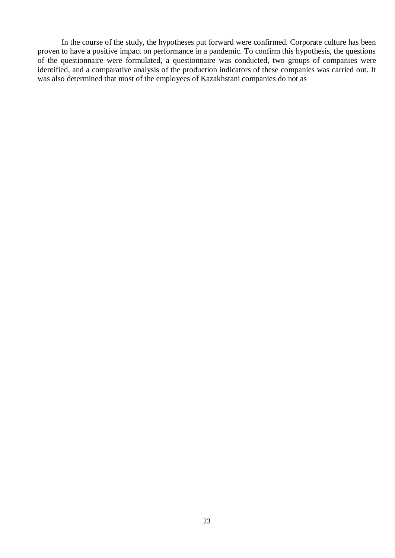In the course of the study, the hypotheses put forward were confirmed. Corporate culture has been proven to have a positive impact on performance in a pandemic. To confirm this hypothesis, the questions of the questionnaire were formulated, a questionnaire was conducted, two groups of companies were identified, and a comparative analysis of the production indicators of these companies was carried out. It was also determined that most of the employees of Kazakhstani companies do not as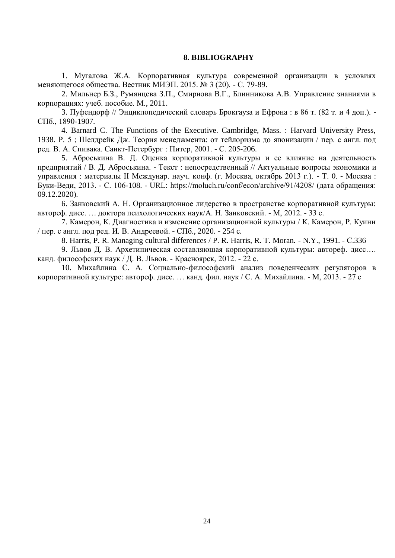#### **8. BIBLIOGRAPHY**

1. Мугалова Ж.А. Корпоративная культура современной организации в условиях меняющегося общества. Вестник МИЭП. 2015. № 3 (20). - С. 79-89.

2. Мильнер Б.З., Румянцева З.П., Смирнова В.Г., Блинникова А.В. Управление знаниями в корпорациях: учеб. пособие. М., 2011.

3. Пуфендорф // Энциклопедический словарь Брокгауза и Ефрона : в 86 т. (82 т. и 4 доп.). - СПб., 1890-1907.

4. Barnard C. The Functions of the Executive. Cambridge, Mass. : Harvard University Press, 1938. Р. 5 ; Шелдрейк Дж. Теория менеджмента: от тейлоризма до японизации / пер. с англ. под ред. В. А. Спивака. Санкт-Петербург : Питер, 2001. - С. 205-206.

5. Аброськина В. Д. Оценка корпоративной культуры и ее влияние на деятельность предприятий / В. Д. Аброськина. - Текст : непосредственный // Актуальные вопросы экономики и управления : материалы II Междунар. науч. конф. (г. Москва, октябрь 2013 г.). - Т. 0. - Москва : Буки-Веди, 2013. - С. 106-108. - URL: https://moluch.ru/conf/econ/archive/91/4208/ (дата обращения: 09.12.2020).

6. Занковский А. Н. Организационное лидерство в пространстве корпоративной культуры: автореф. дисс. … доктора психологических наук/А. Н. Занковский. - М, 2012. - 33 с.

7. Камерон, К. Диагностика и изменение организационной культуры / К. Камерон, Р. Куинн / пер. с англ. под ред. И. В. Андреевой. - СПб., 2020. - 254 с.

8. Harris, P. R. Managing cultural differences / P. R. Harris, R. T. Moran. - N.Y., 1991. - С.336

9. Львов Д. В. Архетипическая составляющая корпоративной культуры: автореф. дисс…. канд. философских наук / Д. В. Львов. - Красноярск, 2012. - 22 с.

10. Михайлина С. А. Социально-философский анализ поведенческих регуляторов в корпоративной культуре: автореф. дисс. … канд. фил. наук / С. А. Михайлина. - М, 2013. - 27 с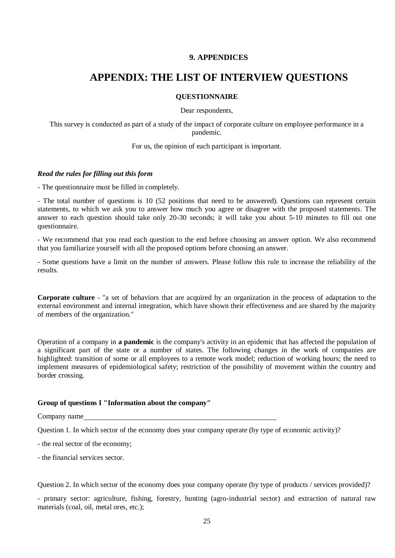## **9. APPENDICES**

# **APPENDIX: THE LIST OF INTERVIEW QUESTIONS**

#### **QUESTIONNAIRE**

Dear respondents,

This survey is conducted as part of a study of the impact of corporate culture on employee performance in a pandemic.

For us, the opinion of each participant is important.

#### *Read the rules for filling out this form*

- The questionnaire must be filled in completely.

- The total number of questions is 10 (52 positions that need to be answered). Questions can represent certain statements, to which we ask you to answer how much you agree or disagree with the proposed statements. The answer to each question should take only 20-30 seconds; it will take you about 5-10 minutes to fill out one questionnaire.

- We recommend that you read each question to the end before choosing an answer option. We also recommend that you familiarize yourself with all the proposed options before choosing an answer.

- Some questions have a limit on the number of answers. Please follow this rule to increase the reliability of the results.

**Corporate culture** - "a set of behaviors that are acquired by an organization in the process of adaptation to the external environment and internal integration, which have shown their effectiveness and are shared by the majority of members of the organization."

Operation of a company in **a pandemic** is the company's activity in an epidemic that has affected the population of a significant part of the state or a number of states. The following changes in the work of companies are highlighted: transition of some or all employees to a remote work model; reduction of working hours; the need to implement measures of epidemiological safety; restriction of the possibility of movement within the country and border crossing.

### **Group of questions I "Information about the company"**

Company name

Question 1. In which sector of the economy does your company operate (by type of economic activity)?

- the real sector of the economy;
- the financial services sector.

Question 2. In which sector of the economy does your company operate (by type of products / services provided)?

- primary sector: agriculture, fishing, forestry, hunting (agro-industrial sector) and extraction of natural raw materials (coal, oil, metal ores, etc.);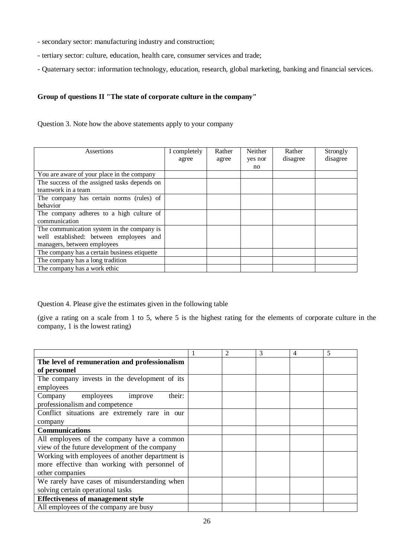- secondary sector: manufacturing industry and construction;
- tertiary sector: culture, education, health care, consumer services and trade;
- Quaternary sector: information technology, education, research, global marketing, banking and financial services.

## **Group of questions II "The state of corporate culture in the company"**

Question 3. Note how the above statements apply to your company

| Assertions                                   | I completely | Rather | Neither | Rather   | Strongly |
|----------------------------------------------|--------------|--------|---------|----------|----------|
|                                              | agree        | agree  | yes nor | disagree | disagree |
|                                              |              |        | no      |          |          |
| You are aware of your place in the company   |              |        |         |          |          |
| The success of the assigned tasks depends on |              |        |         |          |          |
| teamwork in a team                           |              |        |         |          |          |
| The company has certain norms (rules) of     |              |        |         |          |          |
| behavior                                     |              |        |         |          |          |
| The company adheres to a high culture of     |              |        |         |          |          |
| communication                                |              |        |         |          |          |
| The communication system in the company is   |              |        |         |          |          |
| well established: between employees and      |              |        |         |          |          |
| managers, between employees                  |              |        |         |          |          |
| The company has a certain business etiquette |              |        |         |          |          |
| The company has a long tradition             |              |        |         |          |          |
| The company has a work ethic                 |              |        |         |          |          |

Question 4. Please give the estimates given in the following table

(give a rating on a scale from 1 to 5, where 5 is the highest rating for the elements of corporate culture in the company, 1 is the lowest rating)

|                                                 | $\overline{2}$ | 3 | 4 | 5 |
|-------------------------------------------------|----------------|---|---|---|
| The level of remuneration and professionalism   |                |   |   |   |
| of personnel                                    |                |   |   |   |
| The company invests in the development of its   |                |   |   |   |
| employees                                       |                |   |   |   |
| their:<br>employees<br>Company<br>improve       |                |   |   |   |
| professionalism and competence                  |                |   |   |   |
| Conflict situations are extremely rare in our   |                |   |   |   |
| company                                         |                |   |   |   |
| <b>Communications</b>                           |                |   |   |   |
| All employees of the company have a common      |                |   |   |   |
| view of the future development of the company   |                |   |   |   |
| Working with employees of another department is |                |   |   |   |
| more effective than working with personnel of   |                |   |   |   |
| other companies                                 |                |   |   |   |
| We rarely have cases of misunderstanding when   |                |   |   |   |
| solving certain operational tasks               |                |   |   |   |
| <b>Effectiveness of management style</b>        |                |   |   |   |
| All employees of the company are busy           |                |   |   |   |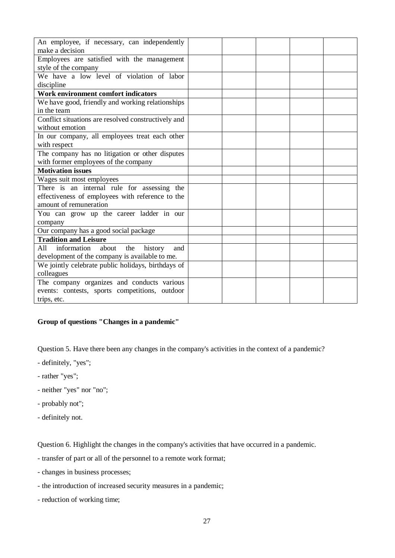| An employee, if necessary, can independently         |  |  |  |
|------------------------------------------------------|--|--|--|
| make a decision                                      |  |  |  |
|                                                      |  |  |  |
| Employees are satisfied with the management          |  |  |  |
| style of the company                                 |  |  |  |
| We have a low level of violation of labor            |  |  |  |
| discipline                                           |  |  |  |
| Work environment comfort indicators                  |  |  |  |
| We have good, friendly and working relationships     |  |  |  |
| in the team                                          |  |  |  |
| Conflict situations are resolved constructively and  |  |  |  |
| without emotion                                      |  |  |  |
| In our company, all employees treat each other       |  |  |  |
| with respect                                         |  |  |  |
| The company has no litigation or other disputes      |  |  |  |
| with former employees of the company                 |  |  |  |
| <b>Motivation issues</b>                             |  |  |  |
| Wages suit most employees                            |  |  |  |
| There is an internal rule for assessing the          |  |  |  |
| effectiveness of employees with reference to the     |  |  |  |
| amount of remuneration                               |  |  |  |
| You can grow up the career ladder in our             |  |  |  |
| company                                              |  |  |  |
| Our company has a good social package                |  |  |  |
| <b>Tradition and Leisure</b>                         |  |  |  |
| information<br>about<br>history<br>A11<br>the<br>and |  |  |  |
| development of the company is available to me.       |  |  |  |
|                                                      |  |  |  |
| We jointly celebrate public holidays, birthdays of   |  |  |  |
| colleagues                                           |  |  |  |
| The company organizes and conducts various           |  |  |  |
| events: contests, sports competitions, outdoor       |  |  |  |
| trips, etc.                                          |  |  |  |

# **Group of questions "Changes in a pandemic"**

Question 5. Have there been any changes in the company's activities in the context of a pandemic?

- definitely, "yes";
- rather "yes";
- neither "yes" nor "no";
- probably not";
- definitely not.

Question 6. Highlight the changes in the company's activities that have occurred in a pandemic.

- transfer of part or all of the personnel to a remote work format;
- changes in business processes;
- the introduction of increased security measures in a pandemic;
- reduction of working time;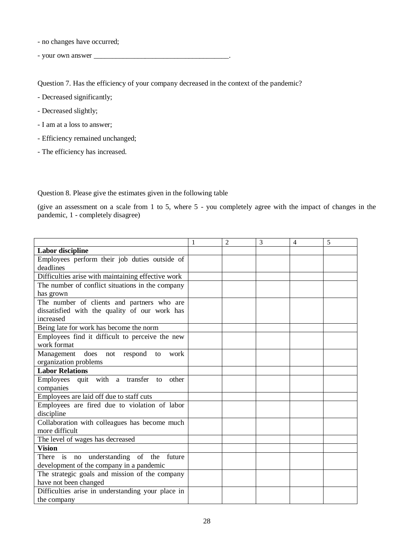- no changes have occurred;

- your own answer \_\_\_\_\_\_\_\_\_\_\_\_\_\_\_\_\_\_\_\_\_\_\_\_\_\_\_\_\_\_\_\_\_\_\_\_\_.

Question 7. Has the efficiency of your company decreased in the context of the pandemic?

- Decreased significantly;
- Decreased slightly;
- I am at a loss to answer;
- Efficiency remained unchanged;
- The efficiency has increased.

Question 8. Please give the estimates given in the following table

(give an assessment on a scale from 1 to 5, where 5 - you completely agree with the impact of changes in the pandemic, 1 - completely disagree)

|                                                    | $\overline{2}$ | 3 | $\overline{4}$ | 5 |
|----------------------------------------------------|----------------|---|----------------|---|
| <b>Labor</b> discipline                            |                |   |                |   |
| Employees perform their job duties outside of      |                |   |                |   |
| deadlines                                          |                |   |                |   |
| Difficulties arise with maintaining effective work |                |   |                |   |
| The number of conflict situations in the company   |                |   |                |   |
| has grown                                          |                |   |                |   |
| The number of clients and partners who are         |                |   |                |   |
| dissatisfied with the quality of our work has      |                |   |                |   |
| increased                                          |                |   |                |   |
| Being late for work has become the norm            |                |   |                |   |
| Employees find it difficult to perceive the new    |                |   |                |   |
| work format                                        |                |   |                |   |
| Management does not respond to<br>work             |                |   |                |   |
| organization problems                              |                |   |                |   |
| <b>Labor Relations</b>                             |                |   |                |   |
| Employees quit with a transfer to<br>other         |                |   |                |   |
| companies                                          |                |   |                |   |
| Employees are laid off due to staff cuts           |                |   |                |   |
| Employees are fired due to violation of labor      |                |   |                |   |
| discipline                                         |                |   |                |   |
| Collaboration with colleagues has become much      |                |   |                |   |
| more difficult                                     |                |   |                |   |
| The level of wages has decreased                   |                |   |                |   |
| <b>Vision</b>                                      |                |   |                |   |
| There is no understanding of the future            |                |   |                |   |
| development of the company in a pandemic           |                |   |                |   |
| The strategic goals and mission of the company     |                |   |                |   |
| have not been changed                              |                |   |                |   |
| Difficulties arise in understanding your place in  |                |   |                |   |
| the company                                        |                |   |                |   |